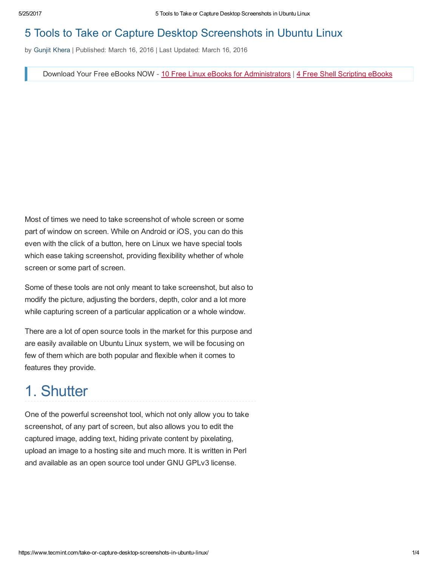#### 5 Tools to Take or Capture Desktop Screenshots in Ubuntu Linux

by Gunjit [Khera](https://www.tecmint.com/author/gunjitk94/) | Published: March 16, 2016 | Last Updated: March 16, 2016

Download Your Free eBooks NOW - 10 Free Linux eBooks for [Administrators](https://www.tecmint.com/10-useful-free-linux-ebooks-for-newbies-and-administrators/) | 4 Free Shell [Scripting](https://www.tecmint.com/free-linux-shell-scripting-books/) eBooks

Most of times we need to take screenshot of whole screen or some part of window on screen. While on Android or iOS, you can do this even with the click of a button, here on Linux we have special tools which ease taking screenshot, providing flexibility whether of whole screen or some part of screen.

Some of these tools are not only meant to take screenshot, but also to modify the picture, adjusting the borders, depth, color and a lot more while capturing screen of a particular application or a whole window.

There are a lot of open source tools in the market for this purpose and are easily available on Ubuntu Linux system, we will be focusing on few of them which are both popular and flexible when it comes to features they provide.

### 1. Shutter

One of the powerful screenshot tool, which not only allow you to take screenshot, of any part of screen, but also allows you to edit the captured image, adding text, hiding private content by pixelating, upload an image to a hosting site and much more. It is written in Perl and available as an open source tool under GNU GPLv3 license.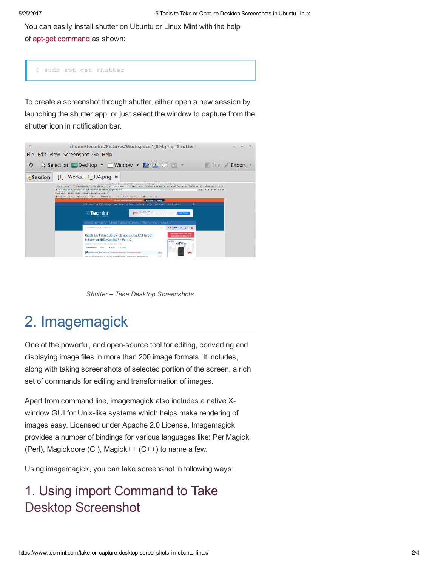You can easily install shutter on Ubuntu or Linux Mint with the help of apt-get [command](https://www.tecmint.com/useful-basic-commands-of-apt-get-and-apt-cache-for-package-management/) as shown:

\$ sudo apt-get shutter

To create a screenshot through shutter, either open a new session by launching the shutter app, or just select the window to capture from the shutter icon in notification bar.



Shutter – Take Desktop Screenshots

# 2. Imagemagick

One of the powerful, and open-source tool for editing, converting and displaying image files in more than 200 image formats. It includes, along with taking screenshots of selected portion of the screen, a rich set of commands for editing and transformation of images.

Apart from command line, imagemagick also includes a native Xwindow GUI for Unix-like systems which helps make rendering of images easy. Licensed under Apache 2.0 License, Imagemagick provides a number of bindings for various languages like: PerlMagick (Perl), Magickcore (C ), Magick++ (C++) to name a few.

Using imagemagick, you can take screenshot in following ways:

#### 1. Using import Command to Take Desktop Screenshot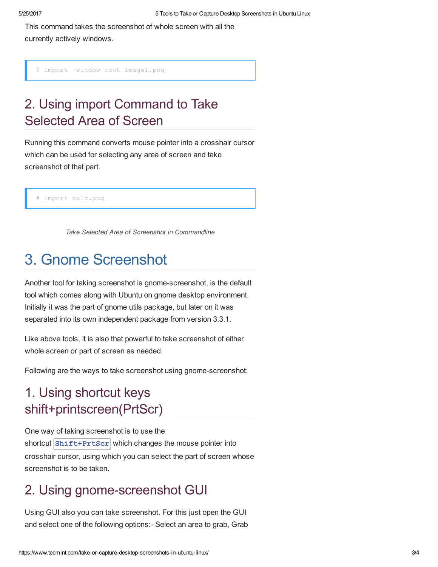This command takes the screenshot of whole screen with all the currently actively windows.

\$ import -window root image1.png

### 2. Using import Command to Take Selected Area of Screen

Running this command converts mouse pointer into a crosshair cursor which can be used for selecting any area of screen and take screenshot of that part.

import calc.png

Take Selected Area of Screenshot in Commandline

### 3. Gnome Screenshot

Another tool for taking screenshot is gnome-screenshot, is the default tool which comes along with Ubuntu on gnome desktop environment. Initially it was the part of gnome utils package, but later on it was separated into its own independent package from version 3.3.1.

Like above tools, it is also that powerful to take screenshot of either whole screen or part of screen as needed.

Following are the ways to take screenshot using gnome-screenshot:

### 1. Using shortcut keys shift+printscreen(PrtScr)

One way of taking screenshot is to use the shortcut  $\text{Shift+Prtscr}$  which changes the mouse pointer into crosshair cursor, using which you can select the part of screen whose screenshot is to be taken.

#### 2. Using gnome-screenshot GUI

Using GUI also you can take screenshot. For this just open the GUI and select one of the following options: Select an area to grab, Grab